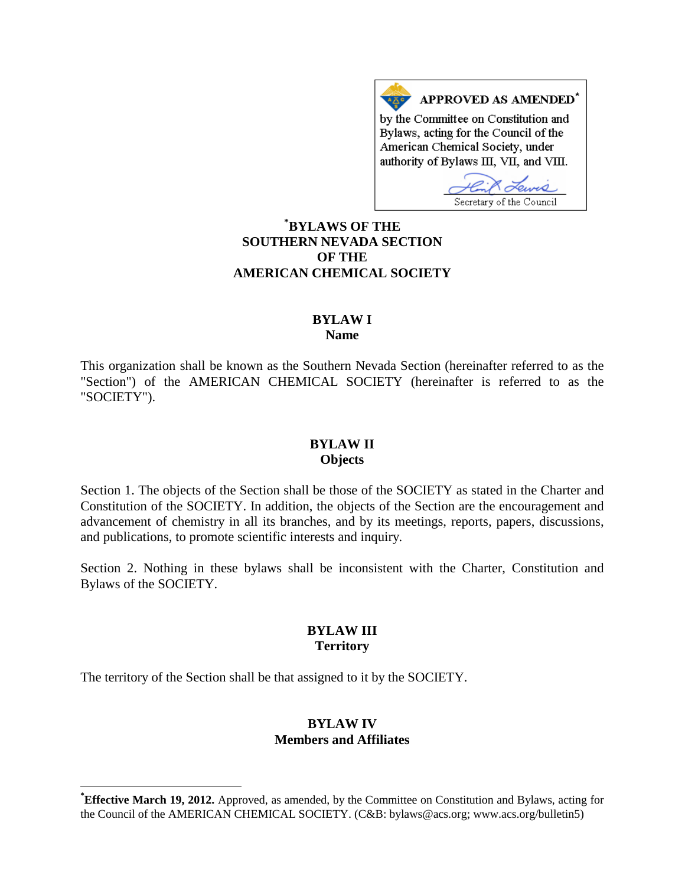APPROVED AS AMENDED\* by the Committee on Constitution and Bylaws, acting for the Council of the American Chemical Society, under authority of Bylaws III, VII, and VIII.

Secretary of the Council **[\\*](#page-0-0) BYLAWS OF THE SOUTHERN NEVADA SECTION OF THE AMERICAN CHEMICAL SOCIETY**

#### **BYLAW I Name**

This organization shall be known as the Southern Nevada Section (hereinafter referred to as the "Section") of the AMERICAN CHEMICAL SOCIETY (hereinafter is referred to as the "SOCIETY").

# **BYLAW II Objects**

Section 1. The objects of the Section shall be those of the SOCIETY as stated in the Charter and Constitution of the SOCIETY. In addition, the objects of the Section are the encouragement and advancement of chemistry in all its branches, and by its meetings, reports, papers, discussions, and publications, to promote scientific interests and inquiry.

Section 2. Nothing in these bylaws shall be inconsistent with the Charter, Constitution and Bylaws of the SOCIETY.

### **BYLAW III Territory**

The territory of the Section shall be that assigned to it by the SOCIETY.

#### **BYLAW IV Members and Affiliates**

<span id="page-0-0"></span>**\* Effective March 19, 2012.** Approved, as amended, by the Committee on Constitution and Bylaws, acting for the Council of the AMERICAN CHEMICAL SOCIETY. (C&B: bylaws@acs.org; www.acs.org/bulletin5)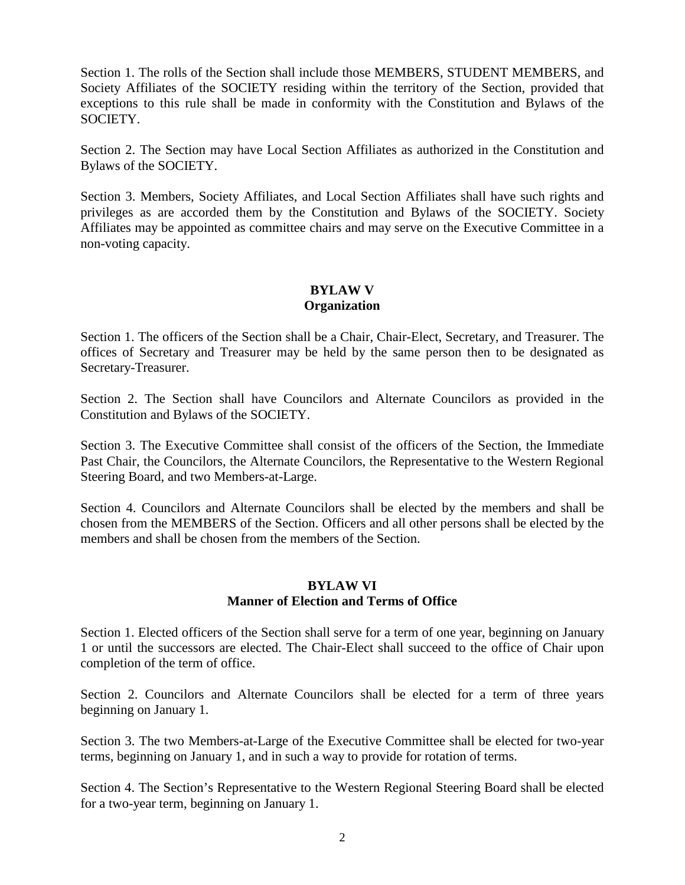Section 1. The rolls of the Section shall include those MEMBERS, STUDENT MEMBERS, and Society Affiliates of the SOCIETY residing within the territory of the Section, provided that exceptions to this rule shall be made in conformity with the Constitution and Bylaws of the SOCIETY.

Section 2. The Section may have Local Section Affiliates as authorized in the Constitution and Bylaws of the SOCIETY.

Section 3. Members, Society Affiliates, and Local Section Affiliates shall have such rights and privileges as are accorded them by the Constitution and Bylaws of the SOCIETY. Society Affiliates may be appointed as committee chairs and may serve on the Executive Committee in a non-voting capacity.

### **BYLAW V Organization**

Section 1. The officers of the Section shall be a Chair, Chair-Elect, Secretary, and Treasurer. The offices of Secretary and Treasurer may be held by the same person then to be designated as Secretary-Treasurer.

Section 2. The Section shall have Councilors and Alternate Councilors as provided in the Constitution and Bylaws of the SOCIETY.

Section 3. The Executive Committee shall consist of the officers of the Section, the Immediate Past Chair, the Councilors, the Alternate Councilors, the Representative to the Western Regional Steering Board, and two Members-at-Large.

Section 4. Councilors and Alternate Councilors shall be elected by the members and shall be chosen from the MEMBERS of the Section. Officers and all other persons shall be elected by the members and shall be chosen from the members of the Section.

# **BYLAW VI Manner of Election and Terms of Office**

Section 1. Elected officers of the Section shall serve for a term of one year, beginning on January 1 or until the successors are elected. The Chair-Elect shall succeed to the office of Chair upon completion of the term of office.

Section 2. Councilors and Alternate Councilors shall be elected for a term of three years beginning on January 1.

Section 3. The two Members-at-Large of the Executive Committee shall be elected for two-year terms, beginning on January 1, and in such a way to provide for rotation of terms.

Section 4. The Section's Representative to the Western Regional Steering Board shall be elected for a two-year term, beginning on January 1.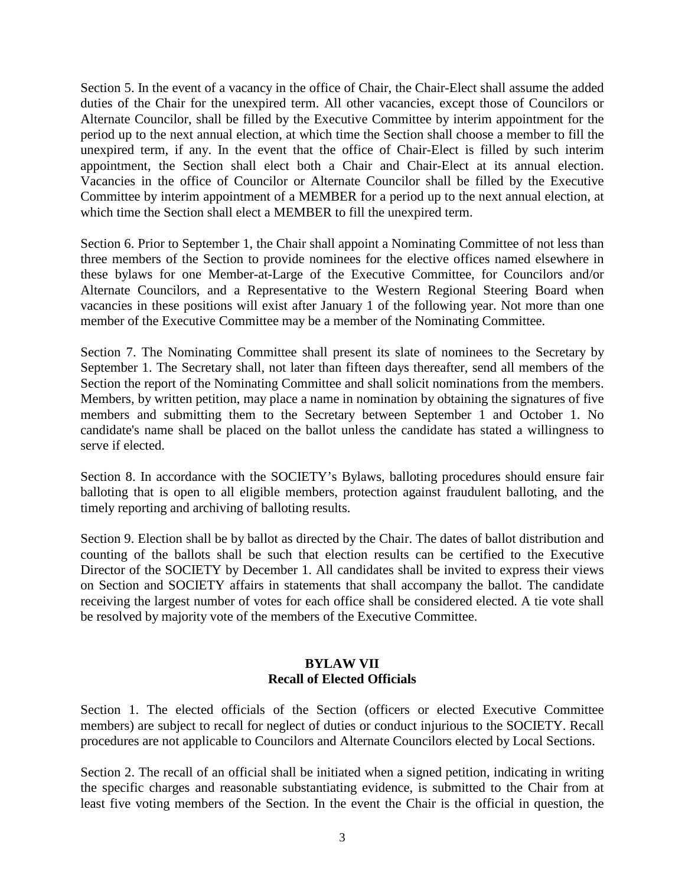Section 5. In the event of a vacancy in the office of Chair, the Chair-Elect shall assume the added duties of the Chair for the unexpired term. All other vacancies, except those of Councilors or Alternate Councilor, shall be filled by the Executive Committee by interim appointment for the period up to the next annual election, at which time the Section shall choose a member to fill the unexpired term, if any. In the event that the office of Chair-Elect is filled by such interim appointment, the Section shall elect both a Chair and Chair-Elect at its annual election. Vacancies in the office of Councilor or Alternate Councilor shall be filled by the Executive Committee by interim appointment of a MEMBER for a period up to the next annual election, at which time the Section shall elect a MEMBER to fill the unexpired term.

Section 6. Prior to September 1, the Chair shall appoint a Nominating Committee of not less than three members of the Section to provide nominees for the elective offices named elsewhere in these bylaws for one Member-at-Large of the Executive Committee, for Councilors and/or Alternate Councilors, and a Representative to the Western Regional Steering Board when vacancies in these positions will exist after January 1 of the following year. Not more than one member of the Executive Committee may be a member of the Nominating Committee.

Section 7. The Nominating Committee shall present its slate of nominees to the Secretary by September 1. The Secretary shall, not later than fifteen days thereafter, send all members of the Section the report of the Nominating Committee and shall solicit nominations from the members. Members, by written petition, may place a name in nomination by obtaining the signatures of five members and submitting them to the Secretary between September 1 and October 1. No candidate's name shall be placed on the ballot unless the candidate has stated a willingness to serve if elected.

Section 8. In accordance with the SOCIETY's Bylaws, balloting procedures should ensure fair balloting that is open to all eligible members, protection against fraudulent balloting, and the timely reporting and archiving of balloting results.

Section 9. Election shall be by ballot as directed by the Chair. The dates of ballot distribution and counting of the ballots shall be such that election results can be certified to the Executive Director of the SOCIETY by December 1. All candidates shall be invited to express their views on Section and SOCIETY affairs in statements that shall accompany the ballot. The candidate receiving the largest number of votes for each office shall be considered elected. A tie vote shall be resolved by majority vote of the members of the Executive Committee.

# **BYLAW VII Recall of Elected Officials**

Section 1. The elected officials of the Section (officers or elected Executive Committee members) are subject to recall for neglect of duties or conduct injurious to the SOCIETY. Recall procedures are not applicable to Councilors and Alternate Councilors elected by Local Sections.

Section 2. The recall of an official shall be initiated when a signed petition, indicating in writing the specific charges and reasonable substantiating evidence, is submitted to the Chair from at least five voting members of the Section. In the event the Chair is the official in question, the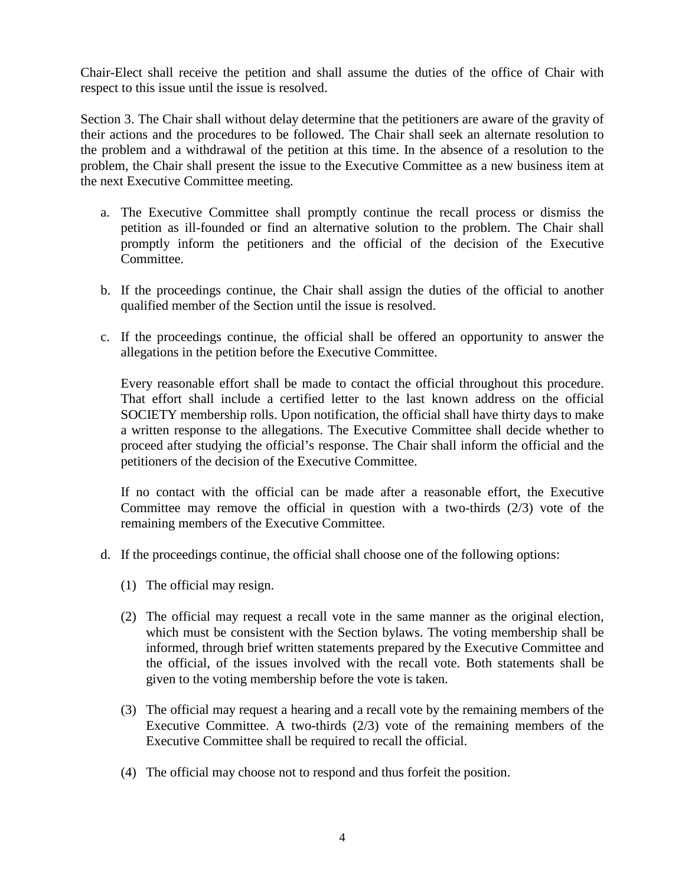Chair-Elect shall receive the petition and shall assume the duties of the office of Chair with respect to this issue until the issue is resolved.

Section 3. The Chair shall without delay determine that the petitioners are aware of the gravity of their actions and the procedures to be followed. The Chair shall seek an alternate resolution to the problem and a withdrawal of the petition at this time. In the absence of a resolution to the problem, the Chair shall present the issue to the Executive Committee as a new business item at the next Executive Committee meeting.

- a. The Executive Committee shall promptly continue the recall process or dismiss the petition as ill-founded or find an alternative solution to the problem. The Chair shall promptly inform the petitioners and the official of the decision of the Executive Committee.
- b. If the proceedings continue, the Chair shall assign the duties of the official to another qualified member of the Section until the issue is resolved.
- c. If the proceedings continue, the official shall be offered an opportunity to answer the allegations in the petition before the Executive Committee.

Every reasonable effort shall be made to contact the official throughout this procedure. That effort shall include a certified letter to the last known address on the official SOCIETY membership rolls. Upon notification, the official shall have thirty days to make a written response to the allegations. The Executive Committee shall decide whether to proceed after studying the official's response. The Chair shall inform the official and the petitioners of the decision of the Executive Committee.

If no contact with the official can be made after a reasonable effort, the Executive Committee may remove the official in question with a two-thirds (2/3) vote of the remaining members of the Executive Committee.

- d. If the proceedings continue, the official shall choose one of the following options:
	- (1) The official may resign.
	- (2) The official may request a recall vote in the same manner as the original election, which must be consistent with the Section bylaws. The voting membership shall be informed, through brief written statements prepared by the Executive Committee and the official, of the issues involved with the recall vote. Both statements shall be given to the voting membership before the vote is taken.
	- (3) The official may request a hearing and a recall vote by the remaining members of the Executive Committee. A two-thirds (2/3) vote of the remaining members of the Executive Committee shall be required to recall the official.
	- (4) The official may choose not to respond and thus forfeit the position.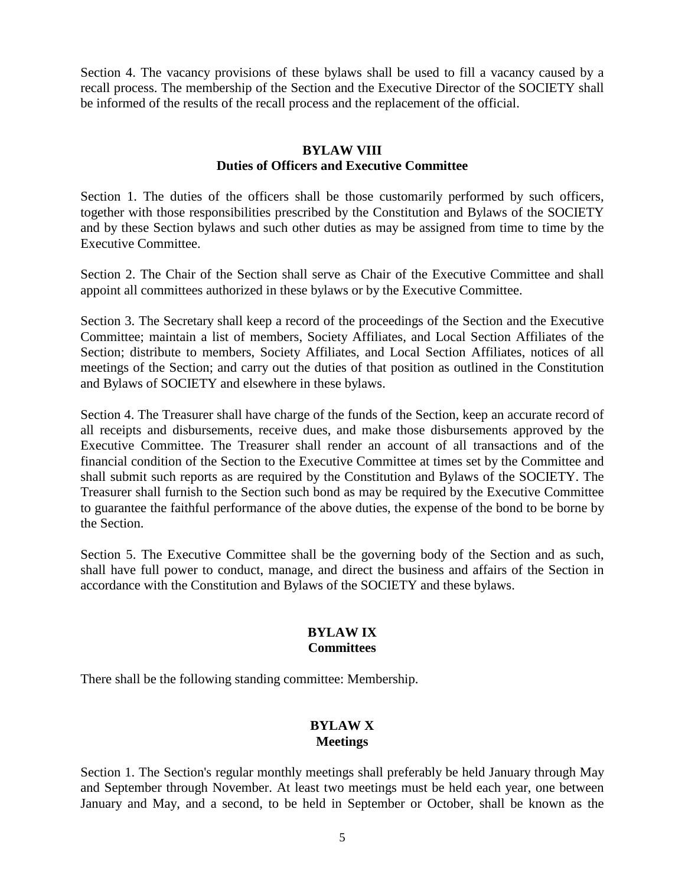Section 4. The vacancy provisions of these bylaws shall be used to fill a vacancy caused by a recall process. The membership of the Section and the Executive Director of the SOCIETY shall be informed of the results of the recall process and the replacement of the official.

## **BYLAW VIII Duties of Officers and Executive Committee**

Section 1. The duties of the officers shall be those customarily performed by such officers, together with those responsibilities prescribed by the Constitution and Bylaws of the SOCIETY and by these Section bylaws and such other duties as may be assigned from time to time by the Executive Committee.

Section 2. The Chair of the Section shall serve as Chair of the Executive Committee and shall appoint all committees authorized in these bylaws or by the Executive Committee.

Section 3. The Secretary shall keep a record of the proceedings of the Section and the Executive Committee; maintain a list of members, Society Affiliates, and Local Section Affiliates of the Section; distribute to members, Society Affiliates, and Local Section Affiliates, notices of all meetings of the Section; and carry out the duties of that position as outlined in the Constitution and Bylaws of SOCIETY and elsewhere in these bylaws.

Section 4. The Treasurer shall have charge of the funds of the Section, keep an accurate record of all receipts and disbursements, receive dues, and make those disbursements approved by the Executive Committee. The Treasurer shall render an account of all transactions and of the financial condition of the Section to the Executive Committee at times set by the Committee and shall submit such reports as are required by the Constitution and Bylaws of the SOCIETY. The Treasurer shall furnish to the Section such bond as may be required by the Executive Committee to guarantee the faithful performance of the above duties, the expense of the bond to be borne by the Section.

Section 5. The Executive Committee shall be the governing body of the Section and as such, shall have full power to conduct, manage, and direct the business and affairs of the Section in accordance with the Constitution and Bylaws of the SOCIETY and these bylaws.

#### **BYLAW IX Committees**

There shall be the following standing committee: Membership.

# **BYLAW X Meetings**

Section 1. The Section's regular monthly meetings shall preferably be held January through May and September through November. At least two meetings must be held each year, one between January and May, and a second, to be held in September or October, shall be known as the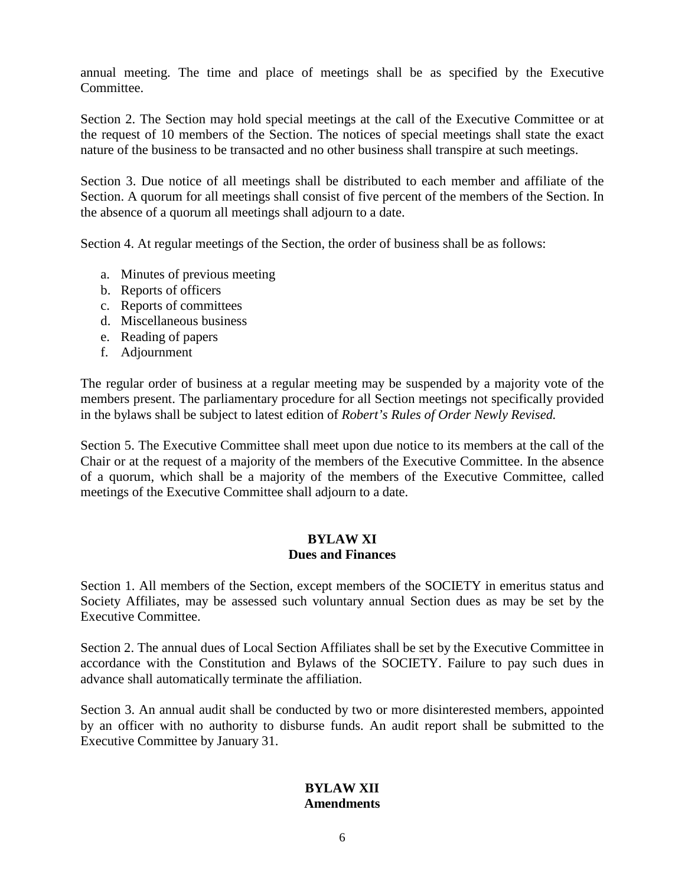annual meeting. The time and place of meetings shall be as specified by the Executive Committee.

Section 2. The Section may hold special meetings at the call of the Executive Committee or at the request of 10 members of the Section. The notices of special meetings shall state the exact nature of the business to be transacted and no other business shall transpire at such meetings.

Section 3. Due notice of all meetings shall be distributed to each member and affiliate of the Section. A quorum for all meetings shall consist of five percent of the members of the Section. In the absence of a quorum all meetings shall adjourn to a date.

Section 4. At regular meetings of the Section, the order of business shall be as follows:

- a. Minutes of previous meeting
- b. Reports of officers
- c. Reports of committees
- d. Miscellaneous business
- e. Reading of papers
- f. Adjournment

The regular order of business at a regular meeting may be suspended by a majority vote of the members present. The parliamentary procedure for all Section meetings not specifically provided in the bylaws shall be subject to latest edition of *Robert's Rules of Order Newly Revised.*

Section 5. The Executive Committee shall meet upon due notice to its members at the call of the Chair or at the request of a majority of the members of the Executive Committee. In the absence of a quorum, which shall be a majority of the members of the Executive Committee, called meetings of the Executive Committee shall adjourn to a date.

#### **BYLAW XI Dues and Finances**

Section 1. All members of the Section, except members of the SOCIETY in emeritus status and Society Affiliates, may be assessed such voluntary annual Section dues as may be set by the Executive Committee.

Section 2. The annual dues of Local Section Affiliates shall be set by the Executive Committee in accordance with the Constitution and Bylaws of the SOCIETY. Failure to pay such dues in advance shall automatically terminate the affiliation.

Section 3. An annual audit shall be conducted by two or more disinterested members, appointed by an officer with no authority to disburse funds. An audit report shall be submitted to the Executive Committee by January 31.

# **BYLAW XII Amendments**